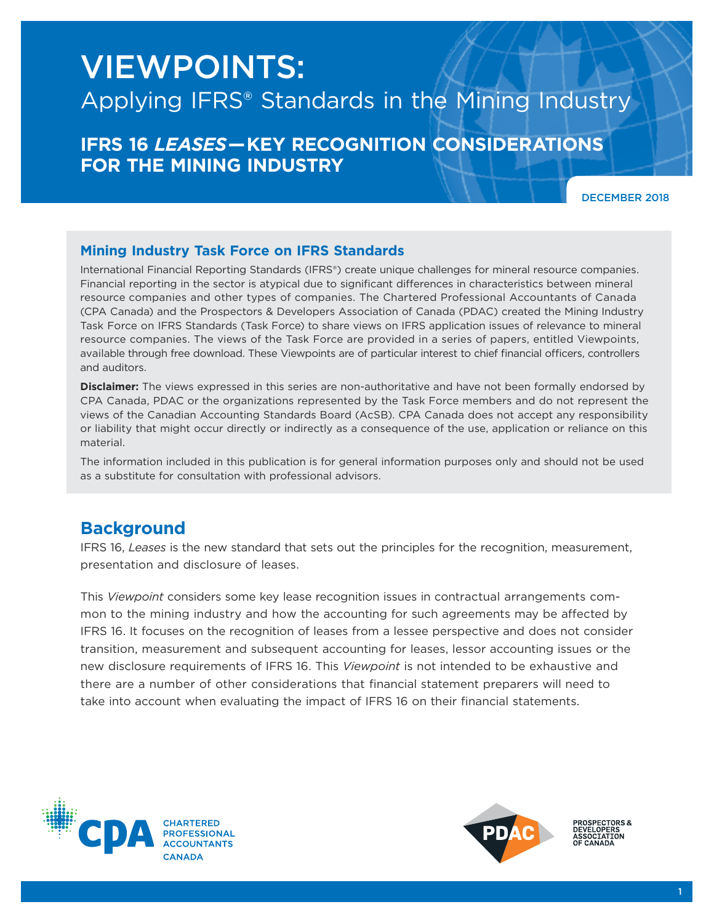# VIEWPOINTS:

## Applying IFRS® Standards in the Mining Industry

## **IFRS 16** *LEASES***— KEY RECOGNITION CONSIDERATIONS FOR THE MINING INDUSTRY**

DECEMBER 2018

#### **Mining Industry Task Force on IFRS Standards**

International Financial Reporting Standards (IFRS®) create unique challenges for mineral resource companies. Financial reporting in the sector is atypical due to significant differences in characteristics between mineral resource companies and other types of companies. The Chartered Professional Accountants of Canada (CPA Canada) and the Prospectors & Developers Association of Canada (PDAC) created the Mining Industry Task Force on IFRS Standards (Task Force) to share views on IFRS application issues of relevance to mineral resource companies. The views of the Task Force are provided in a series of papers, entitled Viewpoints, available through free download. These Viewpoints are of particular interest to chief financial officers, controllers and auditors.

**Disclaimer:** The views expressed in this series are non-authoritative and have not been formally endorsed by CPA Canada, PDAC or the organizations represented by the Task Force members and do not represent the views of the Canadian Accounting Standards Board (AcSB). CPA Canada does not accept any responsibility or liability that might occur directly or indirectly as a consequence of the use, application or reliance on this material.

The information included in this publication is for general information purposes only and should not be used as a substitute for consultation with professional advisors.

### **Background**

IFRS 16, *Leases* is the new standard that sets out the principles for the recognition, measurement, presentation and disclosure of leases.

This *Viewpoint* considers some key lease recognition issues in contractual arrangements common to the mining industry and how the accounting for such agreements may be affected by IFRS 16. It focuses on the recognition of leases from a lessee perspective and does not consider transition, measurement and subsequent accounting for leases, lessor accounting issues or the new disclosure requirements of IFRS 16. This *Viewpoint* is not intended to be exhaustive and there are a number of other considerations that financial statement preparers will need to take into account when evaluating the impact of IFRS 16 on their financial statements.





**PROSPECTORS&**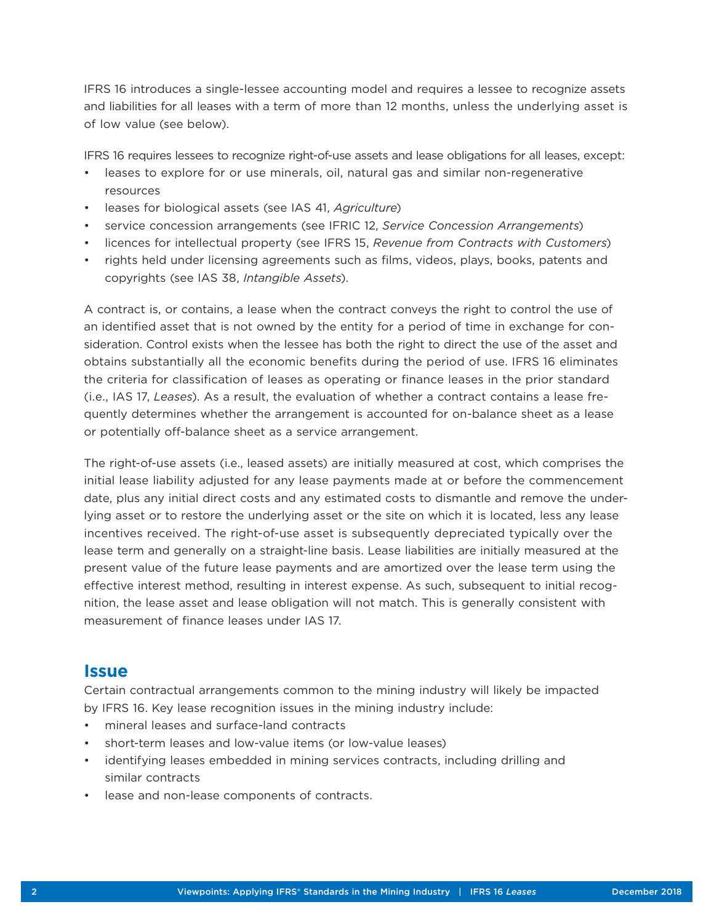IFRS 16 introduces a single-lessee accounting model and requires a lessee to recognize assets and liabilities for all leases with a term of more than 12 months, unless the underlying asset is of low value (see below).

IFRS 16 requires lessees to recognize right-of-use assets and lease obligations for all leases, except:

- leases to explore for or use minerals, oil, natural gas and similar non-regenerative resources
- leases for biological assets (see IAS 41, *Agriculture*)
- service concession arrangements (see IFRIC 12, *Service Concession Arrangements*)
- licences for intellectual property (see IFRS 15, *Revenue from Contracts with Customers*)
- rights held under licensing agreements such as films, videos, plays, books, patents and copyrights (see IAS 38, *Intangible Assets*).

A contract is, or contains, a lease when the contract conveys the right to control the use of an identified asset that is not owned by the entity for a period of time in exchange for consideration. Control exists when the lessee has both the right to direct the use of the asset and obtains substantially all the economic benefits during the period of use. IFRS 16 eliminates the criteria for classification of leases as operating or finance leases in the prior standard (i.e., IAS 17, *Leases*). As a result, the evaluation of whether a contract contains a lease frequently determines whether the arrangement is accounted for on-balance sheet as a lease or potentially off-balance sheet as a service arrangement.

The right-of-use assets (i.e., leased assets) are initially measured at cost, which comprises the initial lease liability adjusted for any lease payments made at or before the commencement date, plus any initial direct costs and any estimated costs to dismantle and remove the underlying asset or to restore the underlying asset or the site on which it is located, less any lease incentives received. The right-of-use asset is subsequently depreciated typically over the lease term and generally on a straight-line basis. Lease liabilities are initially measured at the present value of the future lease payments and are amortized over the lease term using the effective interest method, resulting in interest expense. As such, subsequent to initial recognition, the lease asset and lease obligation will not match. This is generally consistent with measurement of finance leases under IAS 17.

#### **Issue**

Certain contractual arrangements common to the mining industry will likely be impacted by IFRS 16. Key lease recognition issues in the mining industry include:

- mineral leases and surface-land contracts
- short-term leases and low-value items (or low-value leases)
- identifying leases embedded in mining services contracts, including drilling and similar contracts
- lease and non-lease components of contracts.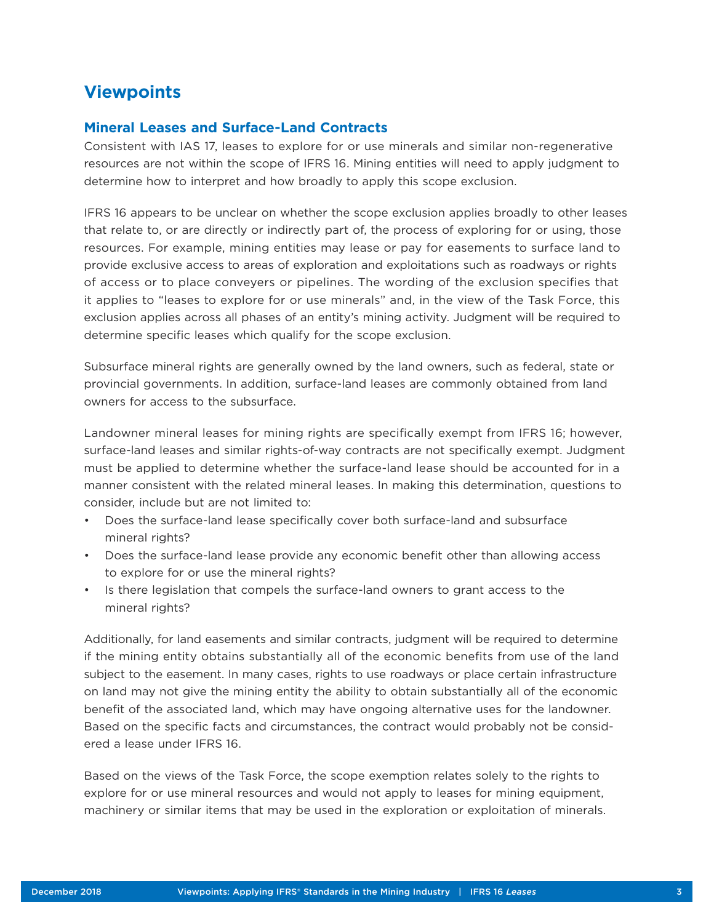## **Viewpoints**

#### **Mineral Leases and Surface-Land Contracts**

Consistent with IAS 17, leases to explore for or use minerals and similar non-regenerative resources are not within the scope of IFRS 16. Mining entities will need to apply judgment to determine how to interpret and how broadly to apply this scope exclusion.

IFRS 16 appears to be unclear on whether the scope exclusion applies broadly to other leases that relate to, or are directly or indirectly part of, the process of exploring for or using, those resources. For example, mining entities may lease or pay for easements to surface land to provide exclusive access to areas of exploration and exploitations such as roadways or rights of access or to place conveyers or pipelines. The wording of the exclusion specifies that it applies to "leases to explore for or use minerals" and, in the view of the Task Force, this exclusion applies across all phases of an entity's mining activity. Judgment will be required to determine specific leases which qualify for the scope exclusion.

Subsurface mineral rights are generally owned by the land owners, such as federal, state or provincial governments. In addition, surface-land leases are commonly obtained from land owners for access to the subsurface.

Landowner mineral leases for mining rights are specifically exempt from IFRS 16; however, surface-land leases and similar rights-of-way contracts are not specifically exempt. Judgment must be applied to determine whether the surface-land lease should be accounted for in a manner consistent with the related mineral leases. In making this determination, questions to consider, include but are not limited to:

- Does the surface-land lease specifically cover both surface-land and subsurface mineral rights?
- Does the surface-land lease provide any economic benefit other than allowing access to explore for or use the mineral rights?
- Is there legislation that compels the surface-land owners to grant access to the mineral rights?

Additionally, for land easements and similar contracts, judgment will be required to determine if the mining entity obtains substantially all of the economic benefits from use of the land subject to the easement. In many cases, rights to use roadways or place certain infrastructure on land may not give the mining entity the ability to obtain substantially all of the economic benefit of the associated land, which may have ongoing alternative uses for the landowner. Based on the specific facts and circumstances, the contract would probably not be considered a lease under IFRS 16.

Based on the views of the Task Force, the scope exemption relates solely to the rights to explore for or use mineral resources and would not apply to leases for mining equipment, machinery or similar items that may be used in the exploration or exploitation of minerals.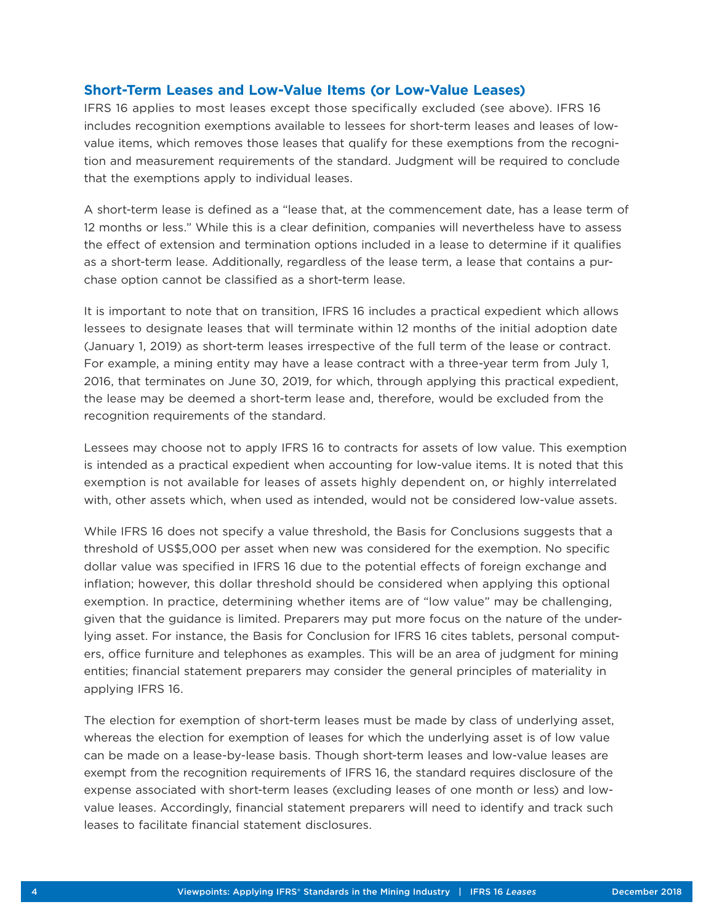#### **Short-Term Leases and Low-Value Items (or Low-Value Leases)**

IFRS 16 applies to most leases except those specifically excluded (see above). IFRS 16 includes recognition exemptions available to lessees for short-term leases and leases of lowvalue items, which removes those leases that qualify for these exemptions from the recognition and measurement requirements of the standard. Judgment will be required to conclude that the exemptions apply to individual leases.

A short-term lease is defined as a "lease that, at the commencement date, has a lease term of 12 months or less." While this is a clear definition, companies will nevertheless have to assess the effect of extension and termination options included in a lease to determine if it qualifies as a short-term lease. Additionally, regardless of the lease term, a lease that contains a purchase option cannot be classified as a short-term lease.

It is important to note that on transition, IFRS 16 includes a practical expedient which allows lessees to designate leases that will terminate within 12 months of the initial adoption date (January 1, 2019) as short-term leases irrespective of the full term of the lease or contract. For example, a mining entity may have a lease contract with a three-year term from July 1, 2016, that terminates on June 30, 2019, for which, through applying this practical expedient, the lease may be deemed a short-term lease and, therefore, would be excluded from the recognition requirements of the standard.

Lessees may choose not to apply IFRS 16 to contracts for assets of low value. This exemption is intended as a practical expedient when accounting for low-value items. It is noted that this exemption is not available for leases of assets highly dependent on, or highly interrelated with, other assets which, when used as intended, would not be considered low-value assets.

While IFRS 16 does not specify a value threshold, the Basis for Conclusions suggests that a threshold of US\$5,000 per asset when new was considered for the exemption. No specific dollar value was specified in IFRS 16 due to the potential effects of foreign exchange and inflation; however, this dollar threshold should be considered when applying this optional exemption. In practice, determining whether items are of "low value" may be challenging, given that the guidance is limited. Preparers may put more focus on the nature of the underlying asset. For instance, the Basis for Conclusion for IFRS 16 cites tablets, personal computers, office furniture and telephones as examples. This will be an area of judgment for mining entities; financial statement preparers may consider the general principles of materiality in applying IFRS 16.

The election for exemption of short-term leases must be made by class of underlying asset, whereas the election for exemption of leases for which the underlying asset is of low value can be made on a lease-by-lease basis. Though short-term leases and low-value leases are exempt from the recognition requirements of IFRS 16, the standard requires disclosure of the expense associated with short-term leases (excluding leases of one month or less) and lowvalue leases. Accordingly, financial statement preparers will need to identify and track such leases to facilitate financial statement disclosures.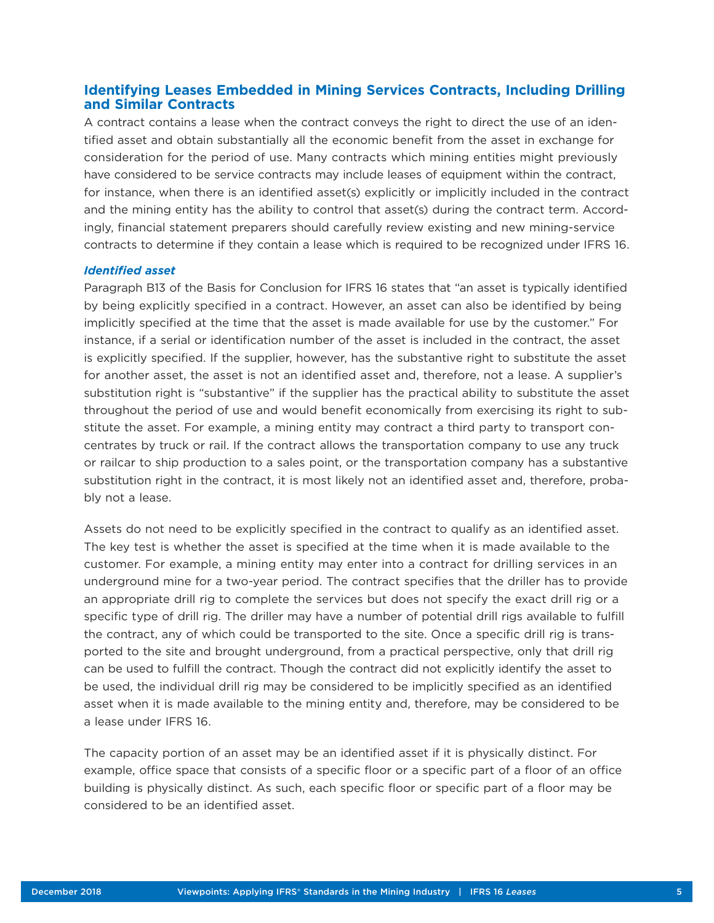#### **Identifying Leases Embedded in Mining Services Contracts, Including Drilling and Similar Contracts**

A contract contains a lease when the contract conveys the right to direct the use of an identified asset and obtain substantially all the economic benefit from the asset in exchange for consideration for the period of use. Many contracts which mining entities might previously have considered to be service contracts may include leases of equipment within the contract, for instance, when there is an identified asset(s) explicitly or implicitly included in the contract and the mining entity has the ability to control that asset(s) during the contract term. Accordingly, financial statement preparers should carefully review existing and new mining-service contracts to determine if they contain a lease which is required to be recognized under IFRS 16.

#### *Identified asset*

Paragraph B13 of the Basis for Conclusion for IFRS 16 states that "an asset is typically identified by being explicitly specified in a contract. However, an asset can also be identified by being implicitly specified at the time that the asset is made available for use by the customer." For instance, if a serial or identification number of the asset is included in the contract, the asset is explicitly specified. If the supplier, however, has the substantive right to substitute the asset for another asset, the asset is not an identified asset and, therefore, not a lease. A supplier's substitution right is "substantive" if the supplier has the practical ability to substitute the asset throughout the period of use and would benefit economically from exercising its right to substitute the asset. For example, a mining entity may contract a third party to transport concentrates by truck or rail. If the contract allows the transportation company to use any truck or railcar to ship production to a sales point, or the transportation company has a substantive substitution right in the contract, it is most likely not an identified asset and, therefore, probably not a lease.

Assets do not need to be explicitly specified in the contract to qualify as an identified asset. The key test is whether the asset is specified at the time when it is made available to the customer. For example, a mining entity may enter into a contract for drilling services in an underground mine for a two-year period. The contract specifies that the driller has to provide an appropriate drill rig to complete the services but does not specify the exact drill rig or a specific type of drill rig. The driller may have a number of potential drill rigs available to fulfill the contract, any of which could be transported to the site. Once a specific drill rig is transported to the site and brought underground, from a practical perspective, only that drill rig can be used to fulfill the contract. Though the contract did not explicitly identify the asset to be used, the individual drill rig may be considered to be implicitly specified as an identified asset when it is made available to the mining entity and, therefore, may be considered to be a lease under IFRS 16.

The capacity portion of an asset may be an identified asset if it is physically distinct. For example, office space that consists of a specific floor or a specific part of a floor of an office building is physically distinct. As such, each specific floor or specific part of a floor may be considered to be an identified asset.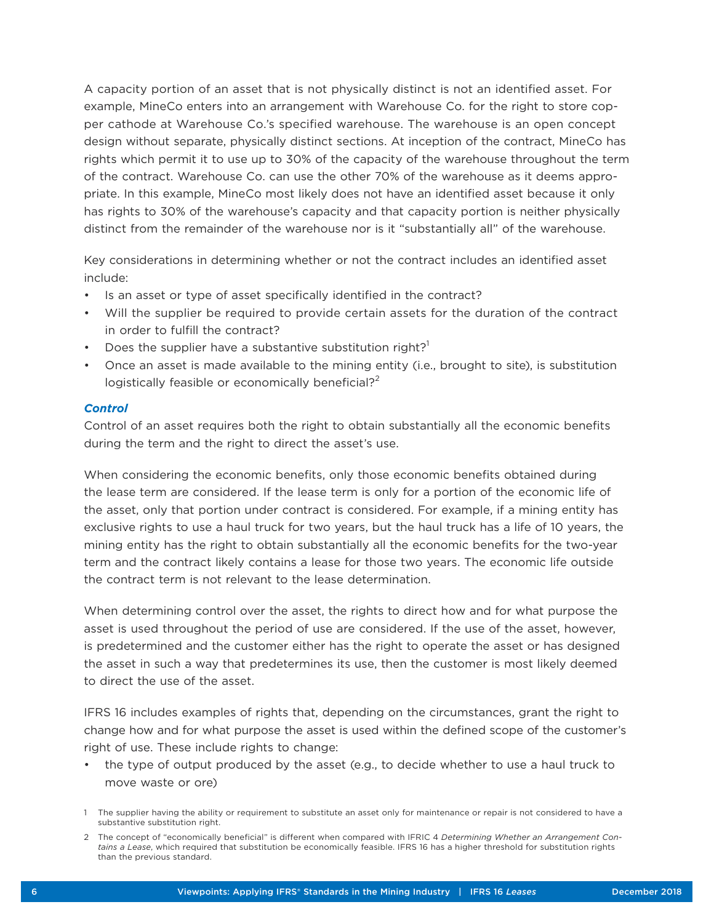A capacity portion of an asset that is not physically distinct is not an identified asset. For example, MineCo enters into an arrangement with Warehouse Co. for the right to store copper cathode at Warehouse Co.'s specified warehouse. The warehouse is an open concept design without separate, physically distinct sections. At inception of the contract, MineCo has rights which permit it to use up to 30% of the capacity of the warehouse throughout the term of the contract. Warehouse Co. can use the other 70% of the warehouse as it deems appropriate. In this example, MineCo most likely does not have an identified asset because it only has rights to 30% of the warehouse's capacity and that capacity portion is neither physically distinct from the remainder of the warehouse nor is it "substantially all" of the warehouse.

Key considerations in determining whether or not the contract includes an identified asset include:

- Is an asset or type of asset specifically identified in the contract?
- Will the supplier be required to provide certain assets for the duration of the contract in order to fulfill the contract?
- Does the supplier have a substantive substitution right? $1$
- Once an asset is made available to the mining entity (i.e., brought to site), is substitution logistically feasible or economically beneficial? $2^2$

#### *Control*

Control of an asset requires both the right to obtain substantially all the economic benefits during the term and the right to direct the asset's use.

When considering the economic benefits, only those economic benefits obtained during the lease term are considered. If the lease term is only for a portion of the economic life of the asset, only that portion under contract is considered. For example, if a mining entity has exclusive rights to use a haul truck for two years, but the haul truck has a life of 10 years, the mining entity has the right to obtain substantially all the economic benefits for the two-year term and the contract likely contains a lease for those two years. The economic life outside the contract term is not relevant to the lease determination.

When determining control over the asset, the rights to direct how and for what purpose the asset is used throughout the period of use are considered. If the use of the asset, however, is predetermined and the customer either has the right to operate the asset or has designed the asset in such a way that predetermines its use, then the customer is most likely deemed to direct the use of the asset.

IFRS 16 includes examples of rights that, depending on the circumstances, grant the right to change how and for what purpose the asset is used within the defined scope of the customer's right of use. These include rights to change:

• the type of output produced by the asset (e.g., to decide whether to use a haul truck to move waste or ore)

<sup>1</sup> The supplier having the ability or requirement to substitute an asset only for maintenance or repair is not considered to have a substantive substitution right.

<sup>2</sup> The concept of "economically beneficial" is different when compared with IFRIC 4 *Determining Whether an Arrangement Contains a Lease*, which required that substitution be economically feasible. IFRS 16 has a higher threshold for substitution rights than the previous standard.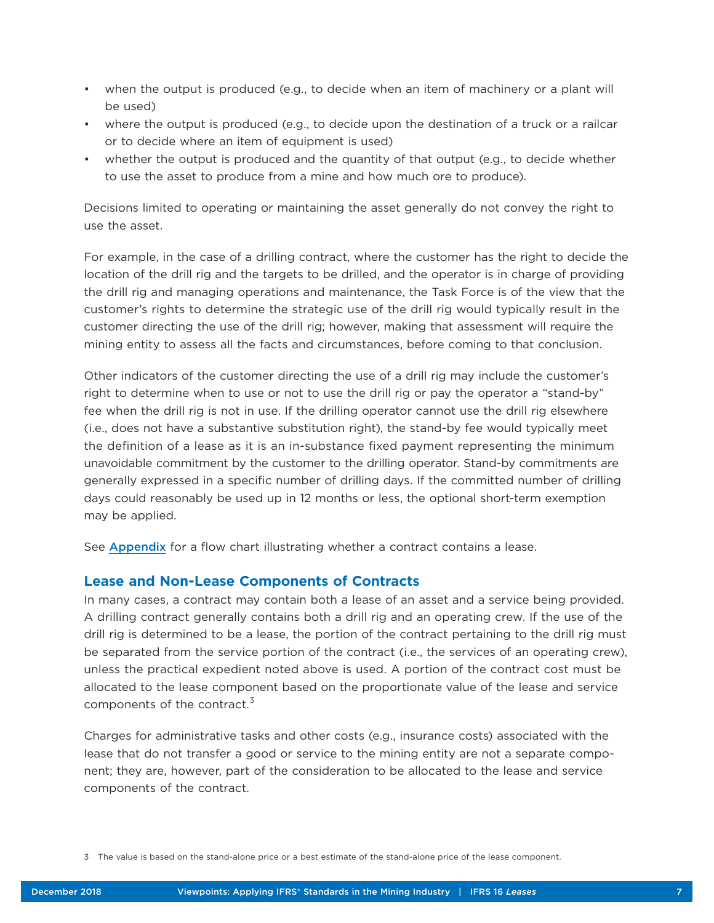- when the output is produced (e.g., to decide when an item of machinery or a plant will be used)
- where the output is produced (e.g., to decide upon the destination of a truck or a railcar or to decide where an item of equipment is used)
- whether the output is produced and the quantity of that output (e.g., to decide whether to use the asset to produce from a mine and how much ore to produce).

Decisions limited to operating or maintaining the asset generally do not convey the right to use the asset.

For example, in the case of a drilling contract, where the customer has the right to decide the location of the drill rig and the targets to be drilled, and the operator is in charge of providing the drill rig and managing operations and maintenance, the Task Force is of the view that the customer's rights to determine the strategic use of the drill rig would typically result in the customer directing the use of the drill rig; however, making that assessment will require the mining entity to assess all the facts and circumstances, before coming to that conclusion.

Other indicators of the customer directing the use of a drill rig may include the customer's right to determine when to use or not to use the drill rig or pay the operator a "stand-by" fee when the drill rig is not in use. If the drilling operator cannot use the drill rig elsewhere (i.e., does not have a substantive substitution right), the stand-by fee would typically meet the definition of a lease as it is an in-substance fixed payment representing the minimum unavoidable commitment by the customer to the drilling operator. Stand-by commitments are generally expressed in a specific number of drilling days. If the committed number of drilling days could reasonably be used up in 12 months or less, the optional short-term exemption may be applied.

See [Appendix](#page-8-0) for a flow chart illustrating whether a contract contains a lease.

#### **Lease and Non-Lease Components of Contracts**

In many cases, a contract may contain both a lease of an asset and a service being provided. A drilling contract generally contains both a drill rig and an operating crew. If the use of the drill rig is determined to be a lease, the portion of the contract pertaining to the drill rig must be separated from the service portion of the contract (i.e., the services of an operating crew), unless the practical expedient noted above is used. A portion of the contract cost must be allocated to the lease component based on the proportionate value of the lease and service components of the contract.<sup>3</sup>

Charges for administrative tasks and other costs (e.g., insurance costs) associated with the lease that do not transfer a good or service to the mining entity are not a separate component; they are, however, part of the consideration to be allocated to the lease and service components of the contract.

<sup>3</sup> The value is based on the stand-alone price or a best estimate of the stand-alone price of the lease component.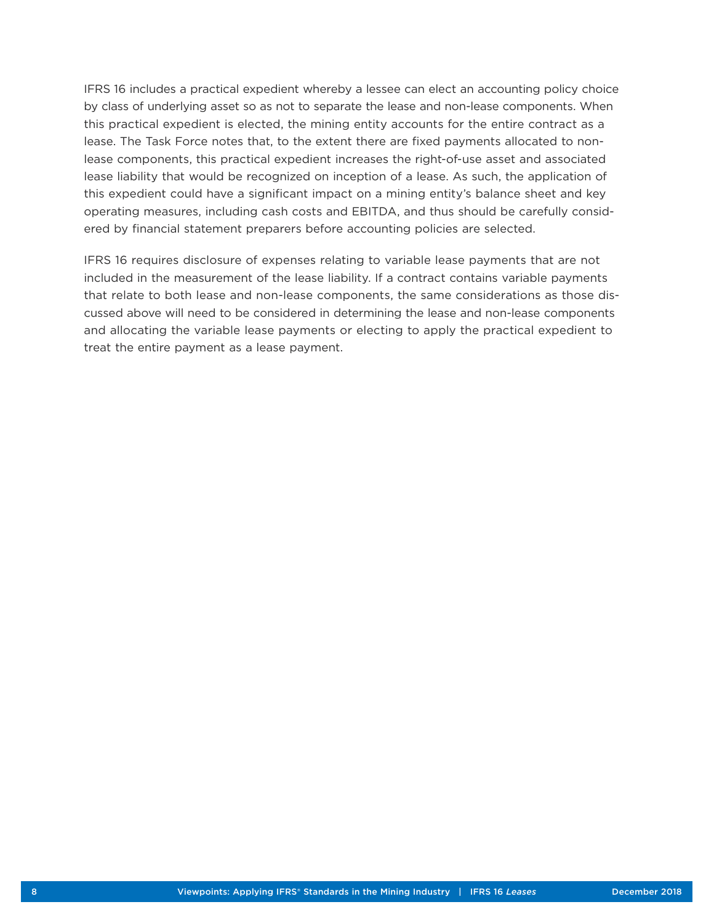IFRS 16 includes a practical expedient whereby a lessee can elect an accounting policy choice by class of underlying asset so as not to separate the lease and non-lease components. When this practical expedient is elected, the mining entity accounts for the entire contract as a lease. The Task Force notes that, to the extent there are fixed payments allocated to nonlease components, this practical expedient increases the right-of-use asset and associated lease liability that would be recognized on inception of a lease. As such, the application of this expedient could have a significant impact on a mining entity's balance sheet and key operating measures, including cash costs and EBITDA, and thus should be carefully considered by financial statement preparers before accounting policies are selected.

IFRS 16 requires disclosure of expenses relating to variable lease payments that are not included in the measurement of the lease liability. If a contract contains variable payments that relate to both lease and non-lease components, the same considerations as those discussed above will need to be considered in determining the lease and non-lease components and allocating the variable lease payments or electing to apply the practical expedient to treat the entire payment as a lease payment.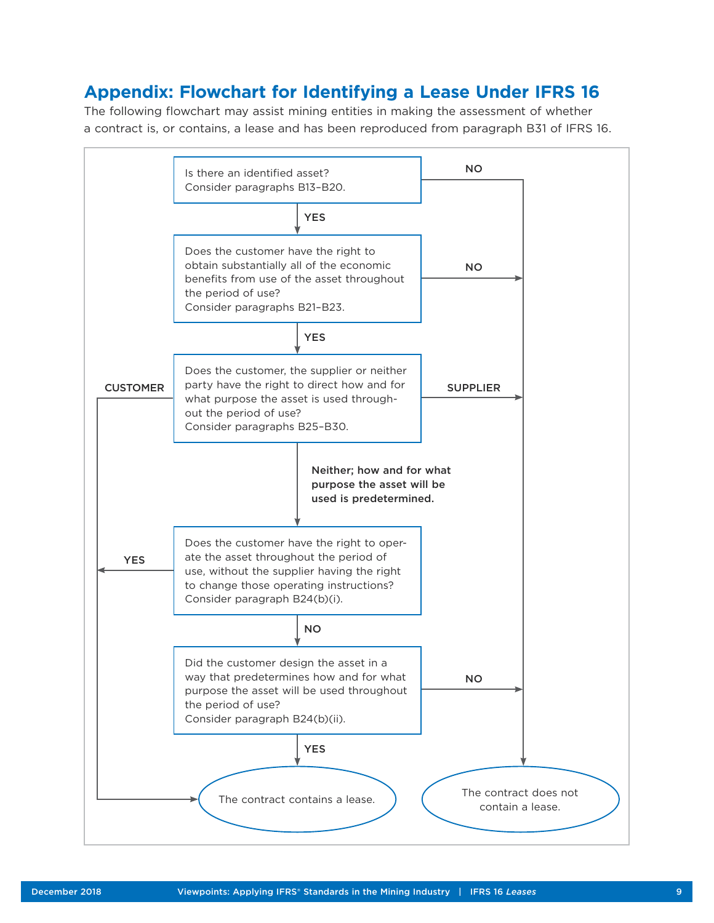## <span id="page-8-0"></span>**Appendix: Flowchart for Identifying a Lease Under IFRS 16**

The following flowchart may assist mining entities in making the assessment of whether a contract is, or contains, a lease and has been reproduced from paragraph B31 of IFRS 16.